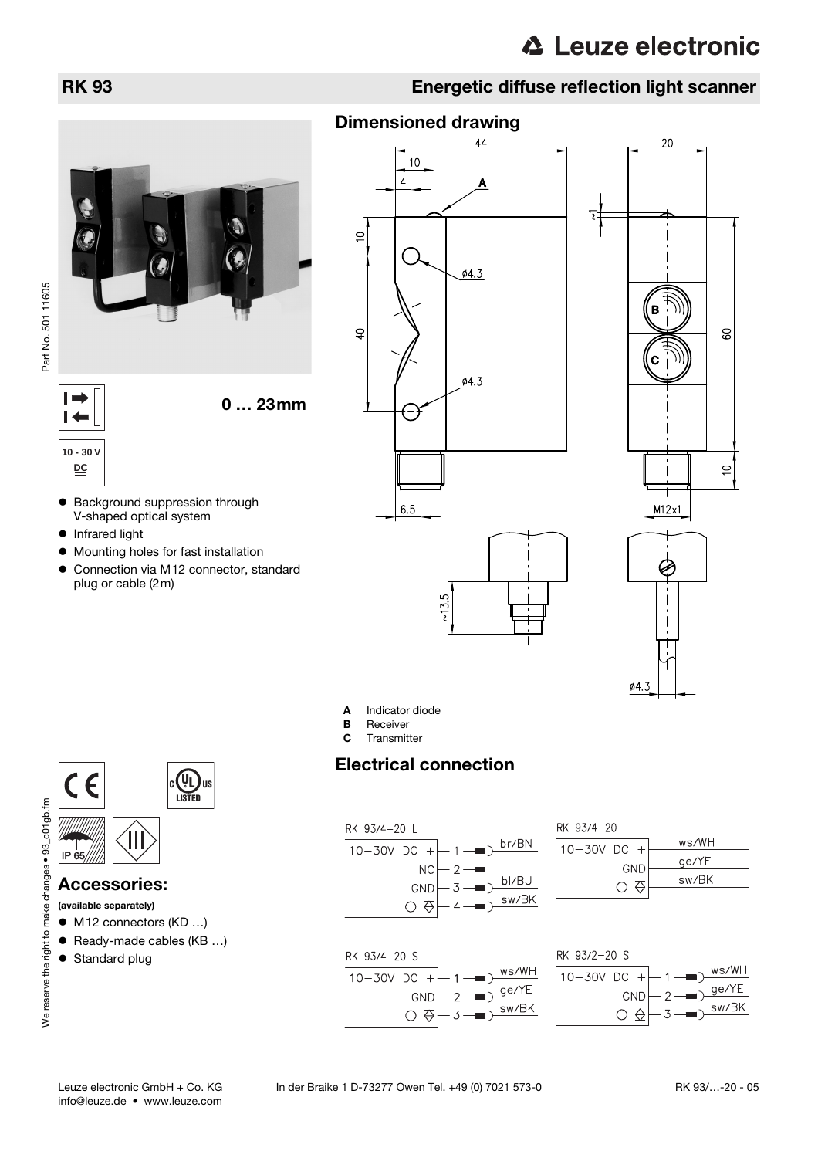

Part No. 501 11605

 $\vdash$  $\overline{1}$  0 … 23mm

## **10 - 30 V DC**

- Background suppression through V-shaped optical system
- Infrared light
- Mounting holes for fast installation
- $\bullet$  Connection via M12 connector, standard plug or cable (2m)



## Accessories:

## (available separately)

- $\bullet$  M12 connectors (KD ...)
- $\bullet$  Ready-made cables (KB ...)
- Standard plug



## Dimensioned drawing









A Indicator diode

- **B** Receiver<br>**C** Transmit
- Transmitter

RK 93/4-20 S

10-30V DC

## Electrical connection



 $^{+}$ 

 $\mathcal{D}$ 

 $\overline{3}$ 

GND

 $\circ$   $\circ$